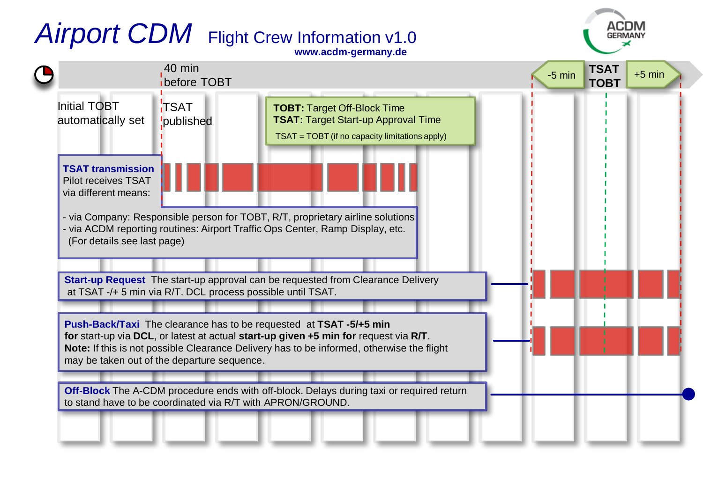